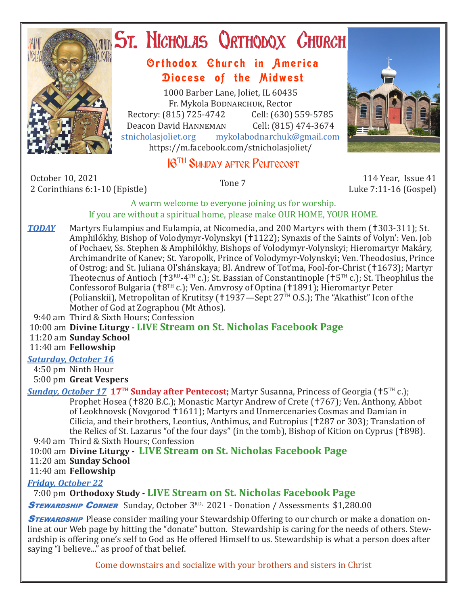

# **ST. NICHOLAS QRTHODOX CHURCH**

## Orthodox Church in America Diocese of the Midwest

1000 Barber Lane, Joliet, IL 60435 Fr. Mykola Bodnarchuk, Rector<br>315) 725-4742 Cell: (630) 559-5785 Rectory: (815) 725-4742 Cell: (630) 559-5785<br>Deacon David HANNEMAN Cell: (815) 474-3674 Deacon David Hanneman<br>stnicholasioliet.org mykola mykolabodnarchuk@gmail.com https://m.facebook.com/stnicholasjoliet/

## 16TH Sunday after Pentecost



Luke 7:11-16 (Gospel)

#### A warm welcome to everyone joining us for worship. If you are without a spiritual home, please make OUR HOME, YOUR HOME.

**TODAY** Martyrs Eulampius and Eulampia, at Nicomedia, and 200 Martyrs with them (†303-311); St. Amphilókhy, Bishop of Volodymyr-Volynskyi (†1122); Synaxis of the Saints of Volyn': Ven. Job of Pochaev, Ss. Stephen & Amphilókhy, Bishops of Volodymyr-Volynskyi; Hieromartyr Makáry, Archimandrite of Kanev; St. Yaropolk, Prince of Volodymyr-Volynskyi; Ven. Theodosius, Prince of Ostrog; and St. Juliana Ol'shánskaya; Bl. Andrew of Tot'ma, Fool-for-Christ (1673); Martyr Theotecnus of Antioch ( $\text{t}3^{\text{RD}}-4^{\text{TH}}$  c.); St. Bassian of Constantinople ( $\text{t}5^{\text{TH}}$  c.); St. Theophilus the Confessorof Bulgaria ( $\text{t}8^{\text{TH}}$  c.); Ven. Amvrosy of Optina ( $\text{t}1891$ ); Hieromartyr Peter (Polianskii), Metropolitan of Krutitsy ( $+1937$ —Sept 27<sup>TH</sup> O.S.); The "Akathist" Icon of the Mother of God at Zographou (Mt Athos).

9:40 am Third & Sixth Hours; Confession

10:00 am **Divine Liturgy - LIVE Stream on St. Nicholas Facebook Page**

11:20 am **Sunday School**

11:40 am **Fellowship**

### *Saturday, October 16*

 4:50 pm Ninth Hour 5:00 pm **Great Vespers**

*Sunday, October 17* **17TH Sunday after Pentecost;** Martyr Susanna, Princess of Georgia (5TH c.); Prophet Hosea (†820 B.C.); Monastic Martyr Andrew of Crete (†767); Ven. Anthony, Abbot of Leokhnovsk (Novgorod 1611); Martyrs and Unmercenaries Cosmas and Damian in Cilicia, and their brothers, Leontius, Anthimus, and Eutropius (†287 or 303); Translation of the Relics of St. Lazarus "of the four days" (in the tomb), Bishop of Kition on Cyprus (†898). 9:40 am Third & Sixth Hours; Confession

10:00 am **Divine Liturgy - LIVE Stream on St. Nicholas Facebook Page**

11:20 am **Sunday School**

11:40 am **Fellowship**

*Friday, October 22* 

7:00 pm **Orthodoxy Study - LIVE Stream on St. Nicholas Facebook Page**

**STEWARDSHIP CORNER** Sunday, October 3RD, 2021 - Donation / Assessments \$1,280.00

**STEWARDSHIP** Please consider mailing your Stewardship Offering to our church or make a donation online at our Web page by hitting the "donate" button. Stewardship is caring for the needs of others. Stewardship is offering one's self to God as He offered Himself to us. Stewardship is what a person does after saying "I believe..." as proof of that belief.

Come downstairs and socialize with your brothers and sisters in Christ